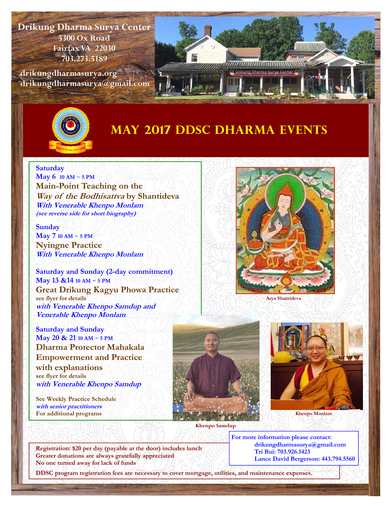**Drikung Dharma Surya Center 5300 Ox Road Fairfax VA 22030 703.273.5189** 

 **drikungdharmasurya.org drikungdharmasurya@gmail.com** 





## **MAY 2017 DDSC Dharma Events**

## **Saturday**

**May 6 10 AM ~ 5 PM Main-Point Teaching on the Way of the Bodhisattva by Shantideva With Venerable Khenpo Monlam (see reverse side for short biography)** 

**Sunday May 7 10 AM ~ 5 PM Nyingne Practice With Venerable Khenpo Monlam** 

**Saturday and Sunday (2-day commitment) May 13 &14 10 AM ~ 5 PM Great Drikung Kagyu Phowa Practice see flyer for details with Venerable Khenpo Samdup and Venerable Khenpo Monlam** 



**Saturday and Sunday May 20 & 21 10 AM ~ 5 PM Dharma Protector Mahakala Empowerment and Practice with explanations see flyer for details with Venerable Khenpo Samdup** 

**See Weekly Practice Schedule with senior practitioners For additional programs**







**Khenpo Monlam** 

**Registration: \$20 per day (payable at the door) includes lunch Greater donations are always gratefully appreciated No one turned away for lack of funds** 

**For more information please contact: drikungdharmasurya@gmail.com Tri Bui: 703.926.1423 Lance David Bergerson: 443.794.5560** 

**DDSC program registration fees are necessary to cover mortgage, utilities, and maintenance expenses.**